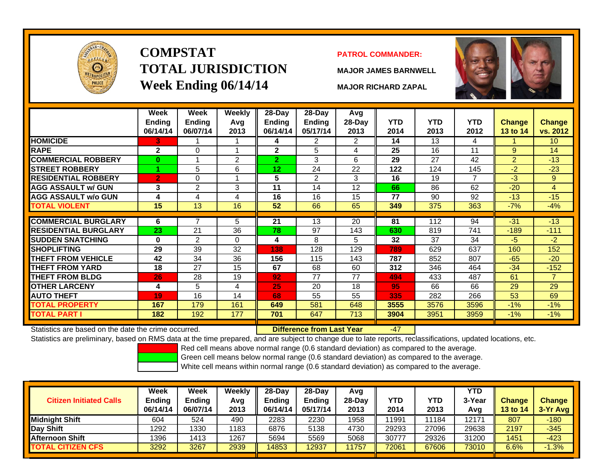

# **COMPSTATTOTAL JURISDICTIONWeek Ending 06/14/14 MAJOR RICHARD ZAPAL**

#### **PATROL COMMANDER:**

**MAJOR JAMES BARNWELL**

-47



|                             | Week<br><b>Ending</b><br>06/14/14 | Week<br><b>Ending</b><br>06/07/14 | <b>Weekly</b><br>Avg<br>2013 | 28-Day<br>Endina<br>06/14/14 | 28-Day<br><b>Ending</b><br>05/17/14 | Avg<br>28-Day<br>2013 | <b>YTD</b><br>2014 | <b>YTD</b><br>2013 | <b>YTD</b><br>2012 | <b>Change</b><br><b>13 to 14</b> | <b>Change</b><br>vs. 2012 |
|-----------------------------|-----------------------------------|-----------------------------------|------------------------------|------------------------------|-------------------------------------|-----------------------|--------------------|--------------------|--------------------|----------------------------------|---------------------------|
| <b>HOMICIDE</b>             | 3                                 |                                   |                              | 4                            | 2                                   | 2                     | 14                 | 13                 | 4                  |                                  | 10 <sup>°</sup>           |
| <b>RAPE</b>                 | $\mathbf{2}$                      | $\Omega$                          | 4                            | $\mathbf{2}$                 | 5                                   | 4                     | 25                 | 16                 | 11                 | 9                                | 14                        |
| <b>COMMERCIAL ROBBERY</b>   | $\bf{0}$                          | 1                                 | 2                            | $\mathbf{2}$                 | 3                                   | 6                     | 29                 | 27                 | 42                 | $\overline{2}$                   | $-13$                     |
| <b>STREET ROBBERY</b>       |                                   | 5                                 | 6                            | 12                           | 24                                  | 22                    | 122                | 124                | 145                | $-2$                             | $-23$                     |
| <b>RESIDENTIAL ROBBERY</b>  | $\overline{2}$                    | $\Omega$                          |                              | 5                            | $\overline{2}$                      | 3                     | 16                 | 19                 | 7                  | $-3$                             | 9                         |
| <b>AGG ASSAULT w/ GUN</b>   | 3                                 | $\overline{2}$                    | 3                            | 11                           | 14                                  | 12                    | 66                 | 86                 | 62                 | $-20$                            | $\overline{4}$            |
| <b>AGG ASSAULT w/o GUN</b>  | 4                                 | 4                                 | 4                            | 16                           | 16                                  | 15                    | 77                 | 90                 | 92                 | $-13$                            | $-15$                     |
| <b>TOTAL VIOLENT</b>        | 15                                | 13                                | 16                           | 52                           | 66                                  | 65                    | 349                | 375                | 363                | $-7%$                            | $-4%$                     |
|                             |                                   | 7                                 |                              |                              |                                     |                       |                    |                    |                    |                                  |                           |
| <b>COMMERCIAL BURGLARY</b>  | 6                                 |                                   | 5                            | 21                           | 13                                  | 20                    | 81                 | 112                | 94                 | $-31$                            | $-13$                     |
| <b>RESIDENTIAL BURGLARY</b> | 23                                | 21                                | 36                           | 78                           | 97                                  | 143                   | 630                | 819                | 741                | $-189$                           | $-111$                    |
| <b>SUDDEN SNATCHING</b>     | $\bf{0}$                          | $\overline{2}$                    | $\Omega$                     | 4                            | 8                                   | 5                     | 32                 | 37                 | 34                 | $-5$                             | $-2$                      |
| <b>SHOPLIFTING</b>          | 29                                | 39                                | 32                           | 138                          | 128                                 | 129                   | 789                | 629                | 637                | 160                              | 152                       |
| <b>THEFT FROM VEHICLE</b>   | 42                                | 34                                | 36                           | 156                          | 115                                 | 143                   | 787                | 852                | 807                | $-65$                            | $-20$                     |
| <b>THEFT FROM YARD</b>      | 18                                | 27                                | 15                           | 67                           | 68                                  | 60                    | 312                | 346                | 464                | $-34$                            | $-152$                    |
| <b>THEFT FROM BLDG</b>      | 26                                | 28                                | 19                           | 92                           | 77                                  | 77                    | 494                | 433                | 487                | 61                               | $\overline{7}$            |
| <b>OTHER LARCENY</b>        | 4                                 | 5                                 | 4                            | 25                           | 20                                  | 18                    | 95                 | 66                 | 66                 | 29                               | 29                        |
| <b>AUTO THEFT</b>           | 19                                | 16                                | 14                           | 68                           | 55                                  | 55                    | 335                | 282                | 266                | 53                               | 69                        |
| <b>TOTAL PROPERTY</b>       | 167                               | 179                               | 161                          | 649                          | 581                                 | 648                   | 3555               | 3576               | 3596               | $-1%$                            | $-1%$                     |
| <b>TOTAL PART I</b>         | 182                               | 192                               | 177                          | 701                          | 647                                 | 713                   | 3904               | 3951               | 3959               | $-1\%$                           | $-1%$                     |

Statistics are based on the date the crime occurred. **Difference from Last Year** 

Statistics are preliminary, based on RMS data at the time prepared, and are subject to change due to late reports, reclassifications, updated locations, etc.

Red cell means above normal range (0.6 standard deviation) as compared to the average.

Green cell means below normal range (0.6 standard deviation) as compared to the average.

| <b>Citizen Initiated Calls</b> | Week<br><b>Ending</b><br>06/14/14 | <b>Week</b><br><b>Ending</b><br>06/07/14 | Weekly<br>Avg<br>2013 | 28-Dav<br>Ending<br>06/14/14 | $28-Day$<br><b>Ending</b><br>05/17/14 | Avg<br>$28-Day$<br>2013 | YTD<br>2014 | YTD<br>2013 | <b>YTD</b><br>3-Year<br>Avg | <b>Change</b><br>13 to 14 | <b>Change</b><br>3-Yr Avg |
|--------------------------------|-----------------------------------|------------------------------------------|-----------------------|------------------------------|---------------------------------------|-------------------------|-------------|-------------|-----------------------------|---------------------------|---------------------------|
| <b>I</b> Midniaht Shift        | 604                               | 524                                      | 490                   | 2283                         | 2230                                  | 1958                    | 1991        | 1184        | 12171                       | 807                       | $-180$                    |
| Day Shift                      | 1292                              | 1330                                     | 1183                  | 6876                         | 5138                                  | 4730                    | 29293       | 27096       | 29638                       | 2197                      | $-345$                    |
| <b>Afternoon Shift</b>         | 1396                              | 1413                                     | 1267                  | 5694                         | 5569                                  | 5068                    | 30777       | 29326       | 31200                       | 1451                      | $-423$                    |
| <b>TOTAL CITIZEN CFS</b>       | 3292                              | 3267                                     | 2939                  | 4853                         | 12937                                 | 1757                    | 72061       | 67606       | 73010                       | 6.6%                      | $-1.3%$                   |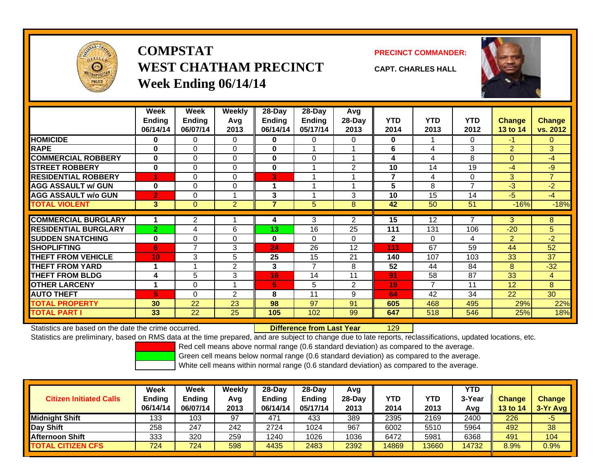

## **COMPSTATWEST CHATHAM PRECINCTWeek Ending 06/14/14**

**PRECINCT COMMANDER:**



**CAPT. CHARLES HALL**

|                             | Week<br><b>Ending</b><br>06/14/14 | Week<br><b>Ending</b><br>06/07/14 | Weekly<br>Avg<br>2013 | 28-Day<br>Ending<br>06/14/14 | $28$ -Day<br><b>Ending</b><br>05/17/14 | Avg<br>28-Day<br>2013 | <b>YTD</b><br>2014 | <b>YTD</b><br>2013 | <b>YTD</b><br>2012 | <b>Change</b><br>13 to 14 | <b>Change</b><br>vs. 2012 |
|-----------------------------|-----------------------------------|-----------------------------------|-----------------------|------------------------------|----------------------------------------|-----------------------|--------------------|--------------------|--------------------|---------------------------|---------------------------|
| <b>HOMICIDE</b>             | $\bf{0}$                          | $\Omega$                          | $\Omega$              | $\bf{0}$                     | 0                                      | $\Omega$              | 0                  |                    | 0                  | $-1$                      | $\Omega$                  |
| <b>RAPE</b>                 | $\bf{0}$                          | $\Omega$                          | $\Omega$              | $\bf{0}$                     |                                        | 1                     | 6                  | 4                  | 3                  | 2                         | 3                         |
| <b>COMMERCIAL ROBBERY</b>   | $\bf{0}$                          | $\Omega$                          | 0                     | 0                            | $\Omega$                               | 1                     | 4                  | 4                  | 8                  | $\Omega$                  | $-4$                      |
| <b>STREET ROBBERY</b>       | $\mathbf 0$                       | $\Omega$                          | 0                     | 0                            |                                        | 2                     | 10                 | 14                 | 19                 | $-4$                      | -9                        |
| <b>RESIDENTIAL ROBBERY</b>  |                                   | $\Omega$                          | 0                     | 3                            |                                        |                       | 7                  | 4                  | 0                  | 3                         | $\overline{7}$            |
| <b>AGG ASSAULT w/ GUN</b>   | $\bf{0}$                          | $\Omega$                          | 0                     | 1                            |                                        | и                     | 5                  | 8                  | 7                  | $-3$                      | -2                        |
| <b>AGG ASSAULT w/o GUN</b>  | $\overline{2}$                    | $\Omega$                          | $\overline{A}$        | 3                            |                                        | 3                     | 10                 | 15                 | 14                 | $-5$                      | $-4$                      |
| <b>TOTAL VIOLENT</b>        | 3                                 | $\mathbf{0}$                      | $\overline{2}$        | 7                            | 5                                      | 8                     | 42                 | 50                 | 51                 | $-16%$                    | $-18%$                    |
|                             |                                   |                                   |                       |                              |                                        |                       |                    |                    |                    |                           |                           |
| <b>COMMERCIAL BURGLARY</b>  |                                   | 2                                 |                       | 4                            | 3                                      | 2                     | 15                 | 12                 | 7                  | 3                         | 8                         |
| <b>RESIDENTIAL BURGLARY</b> | $\overline{2}$                    | 4                                 | 6                     | 13                           | 16                                     | 25                    | 111                | 131                | 106                | $-20$                     | 5                         |
| <b>SUDDEN SNATCHING</b>     | $\bf{0}$                          | $\Omega$                          | 0                     | $\bf{0}$                     | 0                                      | 0                     | $\mathbf{2}$       | $\Omega$           | 4                  | 2                         | $-2$                      |
| <b>SHOPLIFTING</b>          | 6                                 | $\overline{ }$                    | 3                     | 24                           | 26                                     | 12                    | 111                | 67                 | 59                 | 44                        | 52                        |
| <b>THEFT FROM VEHICLE</b>   | 10                                | 3                                 | 5                     | 25                           | 15                                     | 21                    | 140                | 107                | 103                | 33                        | 37                        |
| <b>THEFT FROM YARD</b>      |                                   |                                   | 2                     | 3                            | $\overline{7}$                         | 8                     | 52                 | 44                 | 84                 | 8                         | $-32$                     |
| <b>THEFT FROM BLDG</b>      | 4                                 | 5                                 | 3                     | 16                           | 14                                     | 11                    | 91                 | 58                 | 87                 | 33                        | 4                         |
| <b>OTHER LARCENY</b>        |                                   | 0                                 |                       | 5                            | 5                                      | 2                     | 19                 | $\overline{7}$     | 11                 | 12                        | 8                         |
| <b>AUTO THEFT</b>           | 5                                 | $\Omega$                          | 2                     | 8                            | 11                                     | 9                     | 64                 | 42                 | 34                 | 22                        | 30                        |
| <b>TOTAL PROPERTY</b>       | 30                                | 22                                | 23                    | 98                           | 97                                     | 91                    | 605                | 468                | 495                | 29%                       | 22%                       |
| <b>TOTAL PART</b> I         | 33                                | 22                                | 25                    | 105                          | 102                                    | 99                    | 647                | 518                | 546                | 25%                       | 18%                       |

Statistics are based on the date the crime occurred. **Difference from Last Year** 

129

Statistics are preliminary, based on RMS data at the time prepared, and are subject to change due to late reports, reclassifications, updated locations, etc.

Red cell means above normal range (0.6 standard deviation) as compared to the average.

Green cell means below normal range (0.6 standard deviation) as compared to the average.

| <b>Citizen Initiated Calls</b> | Week<br><b>Ending</b><br>06/14/14 | Week<br><b>Ending</b><br>06/07/14 | Weekly<br>Avg<br>2013 | $28-Day$<br>Ending<br>06/14/14 | $28-Day$<br><b>Ending</b><br>05/17/14 | Avg<br>$28-Dav$<br>2013 | YTD<br>2014 | YTD<br>2013 | YTD<br>3-Year<br>Avg | <b>Change</b><br><b>13 to 14</b> | <b>Change</b><br>3-Yr Avg |
|--------------------------------|-----------------------------------|-----------------------------------|-----------------------|--------------------------------|---------------------------------------|-------------------------|-------------|-------------|----------------------|----------------------------------|---------------------------|
| <b>Midnight Shift</b>          | 133                               | 103                               | 97                    | 471                            | 433                                   | 389                     | 2395        | 2169        | 2400                 | 226                              | -5                        |
| Day Shift                      | 258                               | 247                               | 242                   | 2724                           | 1024                                  | 967                     | 6002        | 5510        | 5964                 | 492                              | 38                        |
| <b>Afternoon Shift</b>         | 333                               | 320                               | 259                   | 1240                           | 1026                                  | 1036                    | 6472        | 5981        | 6368                 | 491                              | 104                       |
| <b>TOTAL CITIZEN CFS</b>       | 724                               | 724                               | 598                   | 4435                           | 2483                                  | 2392                    | 14869       | 3660        | 14732                | 8.9%                             | 0.9%                      |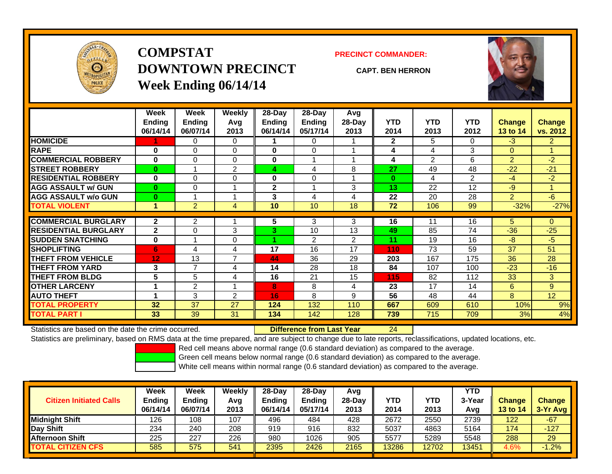

## **COMPSTATDOWNTOWN PRECINCTWeek Ending 06/14/14**

**PRECINCT COMMANDER:**

**CAPT. BEN HERRON**



|                             | Week          | Week           | <b>Weekly</b>  | $28-Day$      | 28-Day        | Avg            |              |            |                |               |                |
|-----------------------------|---------------|----------------|----------------|---------------|---------------|----------------|--------------|------------|----------------|---------------|----------------|
|                             | <b>Ending</b> | <b>Ending</b>  | Avg            | <b>Ending</b> | <b>Ending</b> | $28-Day$       | <b>YTD</b>   | <b>YTD</b> | <b>YTD</b>     | <b>Change</b> | Change         |
|                             | 06/14/14      | 06/07/14       | 2013           | 06/14/14      | 05/17/14      | 2013           | 2014         | 2013       | 2012           | 13 to 14      | vs. 2012       |
| <b>HOMICIDE</b>             |               | 0              | 0              |               | 0             |                | $\mathbf{2}$ | 5          | 0              | $-3$          | $\overline{2}$ |
| <b>RAPE</b>                 | 0             | $\Omega$       | 0              | $\bf{0}$      | 0             |                | 4            | 4          | 3              | $\mathbf{0}$  |                |
| <b>COMMERCIAL ROBBERY</b>   | $\bf{0}$      | $\Omega$       | $\Omega$       | $\bf{0}$      | 1             |                | 4            | 2          | 6              | 2             | $-2$           |
| <b>STREET ROBBERY</b>       | $\bf{0}$      |                | $\overline{2}$ | 4             | 4             | 8              | 27           | 49         | 48             | $-22$         | $-21$          |
| <b>RESIDENTIAL ROBBERY</b>  | $\bf{0}$      | $\Omega$       | $\Omega$       | $\bf{0}$      | 0             |                | $\bf{0}$     | 4          | $\overline{2}$ | -4            | $-2$           |
| <b>AGG ASSAULT w/ GUN</b>   | $\bf{0}$      | 0              |                | $\mathbf{2}$  |               | 3              | 13           | 22         | 12             | -9            |                |
| <b>AGG ASSAULT w/o GUN</b>  | $\bf{0}$      |                |                | 3             | 4             | 4              | 22           | 20         | 28             | 2             | $-6$           |
| <b>TOTAL VIOLENT</b>        | 1             | $\overline{2}$ | 4              | 10            | 10            | 18             | 72           | 106        | 99             | $-32%$        | $-27%$         |
| <b>COMMERCIAL BURGLARY</b>  | $\mathbf{2}$  | $\overline{2}$ |                |               | 3             | 3              | 16           | 11         | 16             | 5             | $\Omega$       |
|                             |               |                |                | 5.            |               |                |              |            |                |               |                |
| <b>RESIDENTIAL BURGLARY</b> | $\mathbf{2}$  | $\Omega$       | 3              | 3             | 10            | 13             | 49           | 85         | 74             | $-36$         | $-25$          |
| <b>SUDDEN SNATCHING</b>     | $\bf{0}$      |                | 0              |               | 2             | $\overline{2}$ | 11           | 19         | 16             | -8            | $-5$           |
| <b>SHOPLIFTING</b>          | 6             | 4              | 4              | 17            | 16            | 17             | 110          | 73         | 59             | 37            | 51             |
| <b>THEFT FROM VEHICLE</b>   | 12            | 13             | $\overline{ }$ | 44            | 36            | 29             | 203          | 167        | 175            | 36            | 28             |
| <b>THEFT FROM YARD</b>      | 3             | 7              | 4              | 14            | 28            | 18             | 84           | 107        | 100            | $-23$         | $-16$          |
| <b>THEFT FROM BLDG</b>      | 5             | 5              | 4              | 16            | 21            | 15             | 115          | 82         | 112            | 33            | 3              |
| <b>OTHER LARCENY</b>        | 1             | $\overline{2}$ |                | 8             | 8             | 4              | 23           | 17         | 14             | 6             | 9              |
| <b>AUTO THEFT</b>           | 1             | 3              | $\overline{2}$ | 16            | 8             | 9              | 56           | 48         | 44             | 8             | 12             |
| <b>TOTAL PROPERTY</b>       | 32            | 37             | 27             | 124           | 132           | 110            | 667          | 609        | 610            | 10%           | 9%             |
| <b>TOTAL PART I</b>         | 33            | 39             | 31             | 134           | 142           | 128            | 739          | 715        | 709            | 3%            | 4%             |

Statistics are based on the date the crime occurred. **Difference from Last Year** 

24

Statistics are preliminary, based on RMS data at the time prepared, and are subject to change due to late reports, reclassifications, updated locations, etc.

Red cell means above normal range (0.6 standard deviation) as compared to the average.

Green cell means below normal range (0.6 standard deviation) as compared to the average.

| <b>Citizen Initiated Calls</b> | Week<br>Ending<br>06/14/14 | <b>Week</b><br><b>Ending</b><br>06/07/14 | Weekly<br>Avg<br>2013 | 28-Day<br>Ending<br>06/14/14 | 28-Dav<br><b>Endina</b><br>05/17/14 | Avg<br>28-Day<br>2013 | YTD<br>2014 | YTD<br>2013 | YTD<br>3-Yea<br>Avg | <b>Change</b><br><b>13 to 14</b> | <b>Change</b><br>3-Yr Avg |
|--------------------------------|----------------------------|------------------------------------------|-----------------------|------------------------------|-------------------------------------|-----------------------|-------------|-------------|---------------------|----------------------------------|---------------------------|
| <b>Midnight Shift</b>          | 126                        | 108                                      | 107                   | 496                          | 484                                 | 428                   | 2672        | 2550        | 2739                | 122                              | $-67$                     |
| Day Shift                      | 234                        | 240                                      | 208                   | 919                          | 916                                 | 832                   | 5037        | 4863        | 5164                | 174                              | $-127$                    |
| <b>Afternoon Shift</b>         | 225                        | 227                                      | 226                   | 980                          | 1026                                | 905                   | 5577        | 5289        | 5548                | 288                              | 29                        |
| <b>TOTAL CITIZEN CFS</b>       | 585                        | 575                                      | 541                   | 2395                         | 2426                                | 2165                  | 13286       | 12702       | 13451               | 4.6%                             | $-1.2%$                   |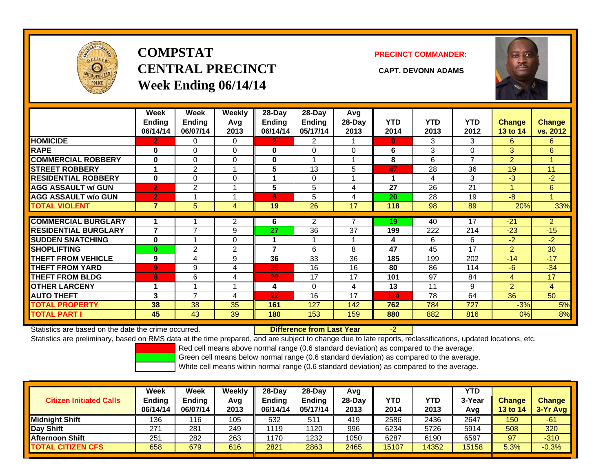

## **COMPSTATCENTRAL PRECINCT CAPT. DEVONN ADAMSWeek Ending 06/14/14**

**PRECINCT COMMANDER:**



|                             | Week<br><b>Ending</b><br>06/14/14 | Week<br>Ending<br>06/07/14 | Weekly<br>Avq<br>2013 | $28 - Day$<br><b>Ending</b><br>06/14/14 | $28-Day$<br><b>Ending</b><br>05/17/14 | Avg<br>28-Day<br>2013 | <b>YTD</b><br>2014 | <b>YTD</b><br>2013 | <b>YTD</b><br>2012 | <b>Change</b><br>13 to 14 | <b>Change</b><br>vs. 2012 |
|-----------------------------|-----------------------------------|----------------------------|-----------------------|-----------------------------------------|---------------------------------------|-----------------------|--------------------|--------------------|--------------------|---------------------------|---------------------------|
| <b>HOMICIDE</b>             | 2                                 | 0                          | 0                     | $\mathbf{2}$                            | 2                                     |                       | 9                  | 3                  | 3                  | 6                         | 6.                        |
| <b>RAPE</b>                 | $\bf{0}$                          | $\Omega$                   | 0                     | $\bf{0}$                                | $\Omega$                              | $\Omega$              | 6                  | 3                  | 0                  | 3                         | 6                         |
| <b>COMMERCIAL ROBBERY</b>   | $\bf{0}$                          | $\Omega$                   | 0                     | 0                                       |                                       |                       | 8                  | 6                  | 7                  | 2                         |                           |
| <b>STREET ROBBERY</b>       | 1                                 | $\overline{2}$             |                       | 5                                       | 13                                    | 5                     | 47                 | 28                 | 36                 | 19                        | 11                        |
| <b>RESIDENTIAL ROBBERY</b>  | $\bf{0}$                          | $\Omega$                   | $\Omega$              |                                         | 0                                     |                       | 1                  | 4                  | 3                  | $-3$                      | $-2$                      |
| <b>AGG ASSAULT w/ GUN</b>   | $\overline{2}$                    | $\overline{2}$             |                       | 5                                       | 5                                     | 4                     | 27                 | 26                 | 21                 |                           | 6                         |
| <b>AGG ASSAULT w/o GUN</b>  | $\mathbf{2}$                      |                            |                       | 6                                       | 5                                     | 4                     | 20                 | 28                 | 19                 | $-8$                      |                           |
| <b>TOTAL VIOLENT</b>        | $\overline{7}$                    | 5                          | 4                     | 19                                      | 26                                    | 17                    | 118                | 98                 | 89                 | 20%                       | 33%                       |
| <b>COMMERCIAL BURGLARY</b>  | 1                                 |                            | 2                     | 6                                       | $\overline{2}$                        | 7                     | 19                 | 40                 | 17                 | $-21$                     | $\overline{2}$            |
| <b>RESIDENTIAL BURGLARY</b> | 7                                 | 7                          | 9                     | 27                                      | 36                                    | 37                    | 199                | 222                | 214                | $-23$                     | $-15$                     |
| <b>SUDDEN SNATCHING</b>     | $\bf{0}$                          |                            | 0                     | 4                                       | 4                                     |                       | 4                  | 6                  | 6                  | $-2$                      | $-2$                      |
| <b>SHOPLIFTING</b>          | $\bf{0}$                          | 2                          | $\overline{2}$        | 7                                       | 6                                     | 8                     | 47                 | 45                 | 17                 | $\overline{2}$            | 30                        |
| <b>THEFT FROM VEHICLE</b>   | 9                                 | 4                          | 9                     | 36                                      | 33                                    | 36                    | 185                | 199                | 202                | $-14$                     | $-17$                     |
| <b>THEFT FROM YARD</b>      | $\overline{9}$                    | 9                          | 4                     | 29                                      | 16                                    | 16                    | 80                 | 86                 | 114                | $-6$                      | $-34$                     |
| <b>THEFT FROM BLDG</b>      | 8                                 | 6                          | 4                     | 29                                      | 17                                    | 17                    | 101                | 97                 | 84                 | 4                         | 17                        |
| <b>OTHER LARCENY</b>        | 1                                 |                            |                       | 4                                       | 0                                     | 4                     | 13                 | 11                 | 9                  | $\overline{2}$            | $\overline{4}$            |
| <b>AUTO THEFT</b>           | 3                                 | $\overline{ }$             | 4                     | 22                                      | 16                                    | 17                    | 114                | 78                 | 64                 | 36                        | 50                        |
| <b>TOTAL PROPERTY</b>       | 38                                | 38                         | 35                    | 161                                     | 127                                   | 142                   | 762                | 784                | 727                | $-3%$                     | 5%                        |
| <b>TOTAL PART I</b>         | 45                                | 43                         | 39                    | 180                                     | 153                                   | 159                   | 880                | 882                | 816                | 0%                        | 8%                        |

Statistics are based on the date the crime occurred. **Difference from Last Year** 

-2

Statistics are preliminary, based on RMS data at the time prepared, and are subject to change due to late reports, reclassifications, updated locations, etc.

Red cell means above normal range (0.6 standard deviation) as compared to the average.

Green cell means below normal range (0.6 standard deviation) as compared to the average.

| <b>Citizen Initiated Calls</b> | <b>Week</b><br>Ending<br>06/14/14 | <b>Week</b><br><b>Ending</b><br>06/07/14 | Weekly<br>Avg<br>2013 | $28-Day$<br><b>Ending</b><br>06/14/14 | $28-Day$<br><b>Ending</b><br>05/17/14 | Avg<br>28-Day<br>2013 | YTD<br>2014 | YTD.<br>2013 | <b>YTD</b><br>3-Yea<br>Avg | <b>Change</b><br><b>13 to 14</b> | <b>Change</b><br>3-Yr Avg |
|--------------------------------|-----------------------------------|------------------------------------------|-----------------------|---------------------------------------|---------------------------------------|-----------------------|-------------|--------------|----------------------------|----------------------------------|---------------------------|
| <b>Midnight Shift</b>          | 136                               | 16                                       | 105                   | 532                                   | 511                                   | 419                   | 2586        | 2436         | 2647                       | 150                              | -61                       |
| Day Shift                      | 27′                               | 281                                      | 249                   | 1119                                  | 1120                                  | 996                   | 6234        | 5726         | 5914                       | 508                              | 320                       |
| <b>Afternoon Shift</b>         | 251                               | 282                                      | 263                   | 1170                                  | 1232                                  | 1050                  | 6287        | 6190         | 6597                       | 97                               | $-310$                    |
| <b>TOTAL CITIZEN CFS</b>       | 658                               | 679                                      | 616                   | 2821                                  | 2863                                  | 2465                  | 15107       | 14352        | 15158                      | 5.3%                             | $-0.3%$                   |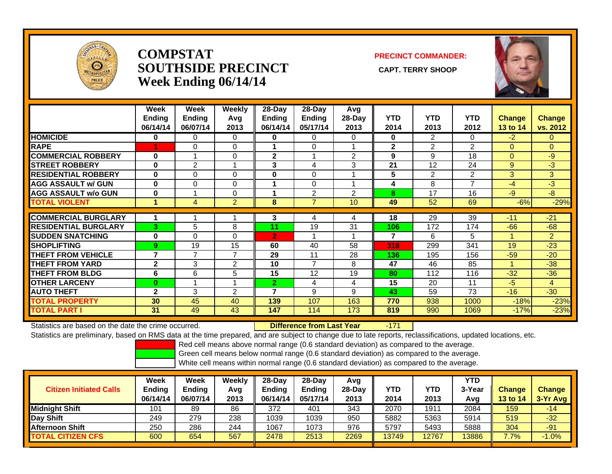

#### **COMPSTATSOUTHSIDE PRECINCT** CAPT. TERRY SHOOP **Week Ending 06/14/14**

#### **PRECINCT COMMANDER:**



|                             | <b>Week</b><br><b>Ending</b><br>06/14/14 | Week<br><b>Ending</b><br>06/07/14 | <b>Weekly</b><br>Avg<br>2013 | 28-Day<br>Ending<br>06/14/14 | 28-Day<br>Ending<br>05/17/14 | Avg<br>28-Day<br>2013 | <b>YTD</b><br>2014 | <b>YTD</b><br>2013 | <b>YTD</b><br>2012 | <b>Change</b><br>13 to 14 | <b>Change</b><br>vs. 2012 |
|-----------------------------|------------------------------------------|-----------------------------------|------------------------------|------------------------------|------------------------------|-----------------------|--------------------|--------------------|--------------------|---------------------------|---------------------------|
| <b>HOMICIDE</b>             | 0                                        | 0                                 | 0                            | 0                            | $\Omega$                     | $\Omega$              | $\mathbf 0$        | $\overline{2}$     | 0                  | $-2$                      | 0                         |
| <b>RAPE</b>                 |                                          | 0                                 | 0                            |                              | $\Omega$                     |                       | $\mathbf 2$        | $\overline{2}$     | $\overline{2}$     | $\Omega$                  | 0                         |
| <b>COMMERCIAL ROBBERY</b>   | 0                                        |                                   | 0                            | $\mathbf{2}$                 |                              | $\overline{2}$        | 9                  | 9                  | 18                 | $\Omega$                  | $-9$                      |
| <b>STREET ROBBERY</b>       | $\bf{0}$                                 | $\overline{2}$                    |                              | 3                            | 4                            | 3                     | 21                 | 12                 | 24                 | 9                         | $-3$                      |
| <b>RESIDENTIAL ROBBERY</b>  | $\bf{0}$                                 | 0                                 | $\Omega$                     | $\bf{0}$                     | 0                            |                       | 5                  | 2                  | $\mathfrak{p}$     | 3                         | 3                         |
| <b>AGG ASSAULT w/ GUN</b>   | $\bf{0}$                                 | 0                                 | 0                            |                              | $\Omega$                     | и                     | 4                  | 8                  | $\overline{7}$     | $-4$                      | $-3$                      |
| <b>AGG ASSAULT w/o GUN</b>  | $\bf{0}$                                 |                                   | 0                            |                              | 2                            | 2                     | 8                  | 17                 | 16                 | $-9$                      | $-8$                      |
| <b>TOTAL VIOLENT</b>        | 1                                        | 4                                 | $\overline{2}$               | 8                            | 7                            | 10                    | 49                 | 52                 | 69                 | $-6%$                     | $-29%$                    |
|                             |                                          |                                   |                              |                              |                              |                       |                    |                    |                    |                           |                           |
| <b>COMMERCIAL BURGLARY</b>  | 1                                        |                                   |                              | 3                            | 4                            | 4                     | 18                 | 29                 | 39                 | $-11$                     | $-21$                     |
| <b>RESIDENTIAL BURGLARY</b> | 3                                        | 5                                 | 8                            | 11                           | 19                           | 31                    | 106                | 172                | 174                | $-66$                     | $-68$                     |
| <b>SUDDEN SNATCHING</b>     | $\bf{0}$                                 | 0                                 | $\Omega$                     | $\overline{2}$               |                              | и                     | 7                  | 6                  | 5                  | 1                         | $\overline{2}$            |
| <b>SHOPLIFTING</b>          | 9                                        | 19                                | 15                           | 60                           | 40                           | 58                    | 318                | 299                | 341                | 19                        | $-23$                     |
| <b>THEFT FROM VEHICLE</b>   | $\overline{7}$                           | $\overline{\phantom{a}}$          | $\overline{7}$               | 29                           | 11                           | 28                    | 136                | 195                | 156                | $-59$                     | $-20$                     |
| <b>THEFT FROM YARD</b>      | $\mathbf{2}$                             | 3                                 | 2                            | 10                           | 7                            | 8                     | 47                 | 46                 | 85                 | 4                         | $-38$                     |
| <b>THEFT FROM BLDG</b>      | 6                                        | 6                                 | 5                            | 15                           | 12                           | 19                    | 80                 | 112                | 116                | $-32$                     | $-36$                     |
| <b>OTHER LARCENY</b>        | $\bf{0}$                                 |                                   |                              | $\overline{2}$               | 4                            | 4                     | 15                 | 20                 | 11                 | $-5$                      | 4                         |
| <b>AUTO THEFT</b>           | $\mathbf{2}$                             | 3                                 | 2                            | 7                            | 9                            | 9                     | 43                 | 59                 | 73                 | $-16$                     | $-30$                     |
| <b>TOTAL PROPERTY</b>       | 30                                       | 45                                | 40                           | 139                          | 107                          | 163                   | 770                | 938                | 1000               | $-18%$                    | $-23%$                    |
| <b>TOTAL PART I</b>         | 31                                       | 49                                | 43                           | 147                          | 114                          | 173                   | 819                | 990                | 1069               | $-17%$                    | $-23%$                    |

Statistics are based on the date the crime occurred. **Difference from Last Year** 

-171

Statistics are preliminary, based on RMS data at the time prepared, and are subject to change due to late reports, reclassifications, updated locations, etc.

Red cell means above normal range (0.6 standard deviation) as compared to the average.

Green cell means below normal range (0.6 standard deviation) as compared to the average.

| <b>Citizen Initiated Calls</b> | Week<br>Ending<br>06/14/14 | Week<br><b>Ending</b><br>06/07/14 | Weekly<br>Avg<br>2013 | $28-Dav$<br><b>Ending</b><br>06/14/14 | $28$ -Day<br><b>Ending</b><br>05/17/14 | Avg<br>$28-Day$<br>2013 | YTD<br>2014 | YTD<br>2013 | <b>YTD</b><br>3-Year<br>Avg | <b>Change</b><br><b>13 to 14</b> | <b>Change</b><br>3-Yr Avg |
|--------------------------------|----------------------------|-----------------------------------|-----------------------|---------------------------------------|----------------------------------------|-------------------------|-------------|-------------|-----------------------------|----------------------------------|---------------------------|
| <b>Midnight Shift</b>          | 101                        | 89                                | 86                    | 372                                   | 401                                    | 343                     | 2070        | 1911        | 2084                        | 159                              | $-14$                     |
| Day Shift                      | 249                        | 279                               | 238                   | 1039                                  | 1039                                   | 950                     | 5882        | 5363        | 5914                        | 519                              | $-32$                     |
| <b>Afternoon Shift</b>         | 250                        | 286                               | 244                   | 1067                                  | 1073                                   | 976                     | 5797        | 5493        | 5888                        | 304                              | $-91$                     |
| <b>TOTAL CITIZEN CFS</b>       | 600                        | 654                               | 567                   | 2478                                  | 2513                                   | 2269                    | 13749       | 12767       | 13886                       | 7.7%                             | $-1.0%$                   |